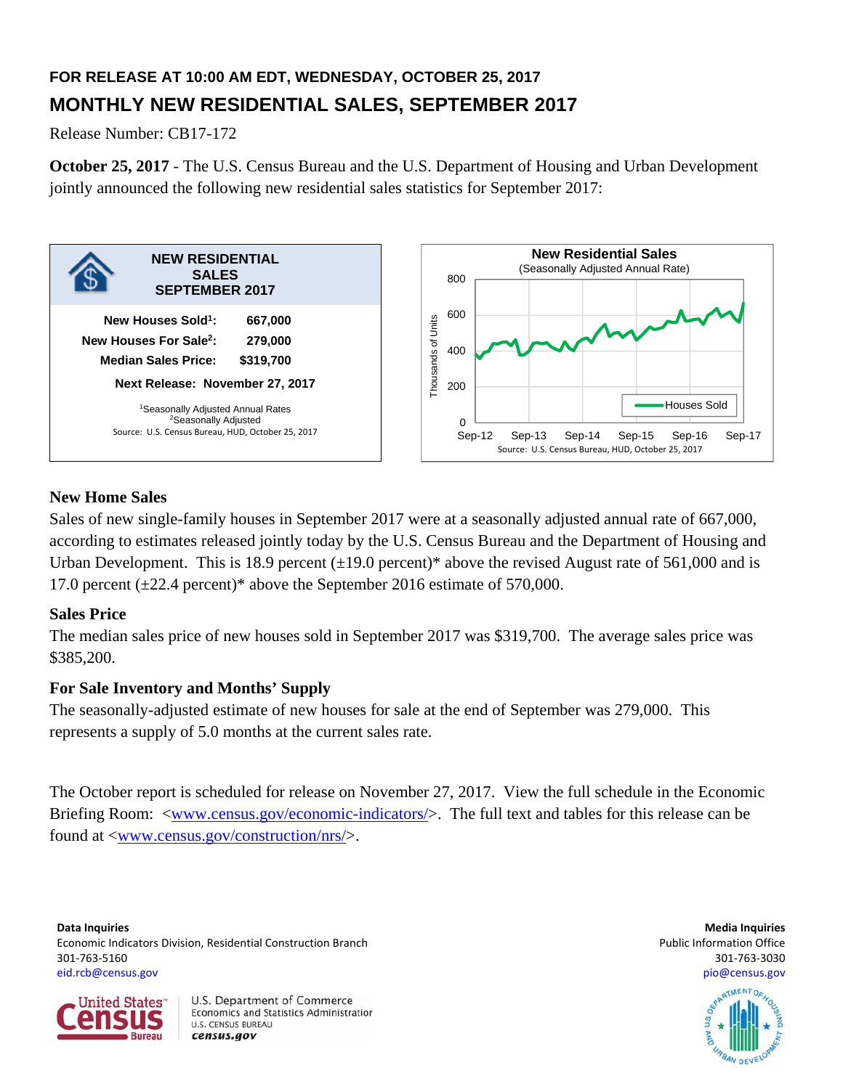# **FOR RELEASE AT 10:00 AM EDT, WEDNESDAY, OCTOBER 25, 2017 MONTHLY NEW RESIDENTIAL SALES, SEPTEMBER 2017**

Release Number: CB17-172

**October 25, 2017** - The U.S. Census Bureau and the U.S. Department of Housing and Urban Development jointly announced the following new residential sales statistics for September 2017:



# **New Home Sales**

Sales of new single-family houses in September 2017 were at a seasonally adjusted annual rate of 667,000, according to estimates released jointly today by the U.S. Census Bureau and the Department of Housing and Urban Development. This is 18.9 percent  $(\pm 19.0$  percent)\* above the revised August rate of 561,000 and is 17.0 percent  $(\pm 22.4$  percent)\* above the September 2016 estimate of 570,000.

# **Sales Price**

The median sales price of new houses sold in September 2017 was \$319,700. The average sales price was \$385,200.

# **For Sale Inventory and Months' Supply**

The seasonally-adjusted estimate of new houses for sale at the end of September was 279,000. This represents a supply of 5.0 months at the current sales rate.

The October report is scheduled for release on November 27, 2017. View the full schedule in the Economic Briefing Room: <www.census.gov/economic-indicators/>. The full text and tables for this release can be found at <www.census.gov/construction/nrs/>.

**Data Inquiries Media Inquiries** Economic Indicators Division, Residential Construction Branch **Public Information Construction Branch** Public Information Office 301‐763‐5160 301‐763‐3030 eid.rcb@census.gov pio@census.gov



U.S. Department of Commerce Economics and Statistics Administration **U.S. CENSUS BUREAU** census.gov

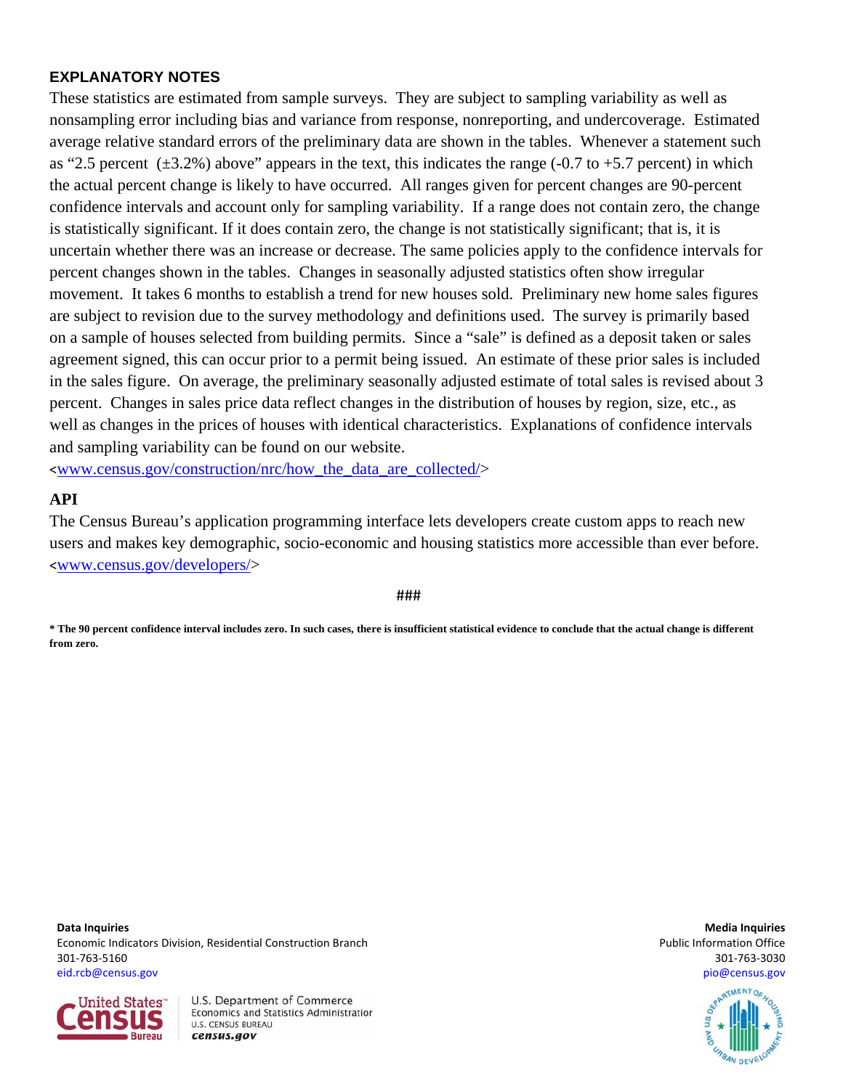## **EXPLANATORY NOTES**

These statistics are estimated from sample surveys. They are subject to sampling variability as well as nonsampling error including bias and variance from response, nonreporting, and undercoverage. Estimated average relative standard errors of the preliminary data are shown in the tables. Whenever a statement such as "2.5 percent  $(\pm 3.2\%)$  above" appears in the text, this indicates the range (-0.7 to +5.7 percent) in which the actual percent change is likely to have occurred. All ranges given for percent changes are 90-percent confidence intervals and account only for sampling variability. If a range does not contain zero, the change is statistically significant. If it does contain zero, the change is not statistically significant; that is, it is uncertain whether there was an increase or decrease. The same policies apply to the confidence intervals for percent changes shown in the tables. Changes in seasonally adjusted statistics often show irregular movement. It takes 6 months to establish a trend for new houses sold. Preliminary new home sales figures are subject to revision due to the survey methodology and definitions used. The survey is primarily based on a sample of houses selected from building permits. Since a "sale" is defined as a deposit taken or sales agreement signed, this can occur prior to a permit being issued. An estimate of these prior sales is included in the sales figure. On average, the preliminary seasonally adjusted estimate of total sales is revised about 3 percent. Changes in sales price data reflect changes in the distribution of houses by region, size, etc., as well as changes in the prices of houses with identical characteristics. Explanations of confidence intervals and sampling variability can be found on our website.

<www.census.gov/construction/nrc/how\_the\_data\_are\_collected/>

### **API**

The Census Bureau's application programming interface lets developers create custom apps to reach new users and makes key demographic, socio-economic and housing statistics more accessible than ever before. <www.census.gov/developers/>

###

**\* The 90 percent confidence interval includes zero. In such cases, there is insufficient statistical evidence to conclude that the actual change is different from zero.**

**Data Inquiries Media Inquiries** Economic Indicators Division, Residential Construction Branch **Public Information Construction Branch** Public Information Office 301‐763‐5160 301‐763‐3030 eid.rcb@census.gov pio@census.gov



U.S. Department of Commerce Economics and Statistics Administration **U.S. CENSUS BUREAU** census.gov

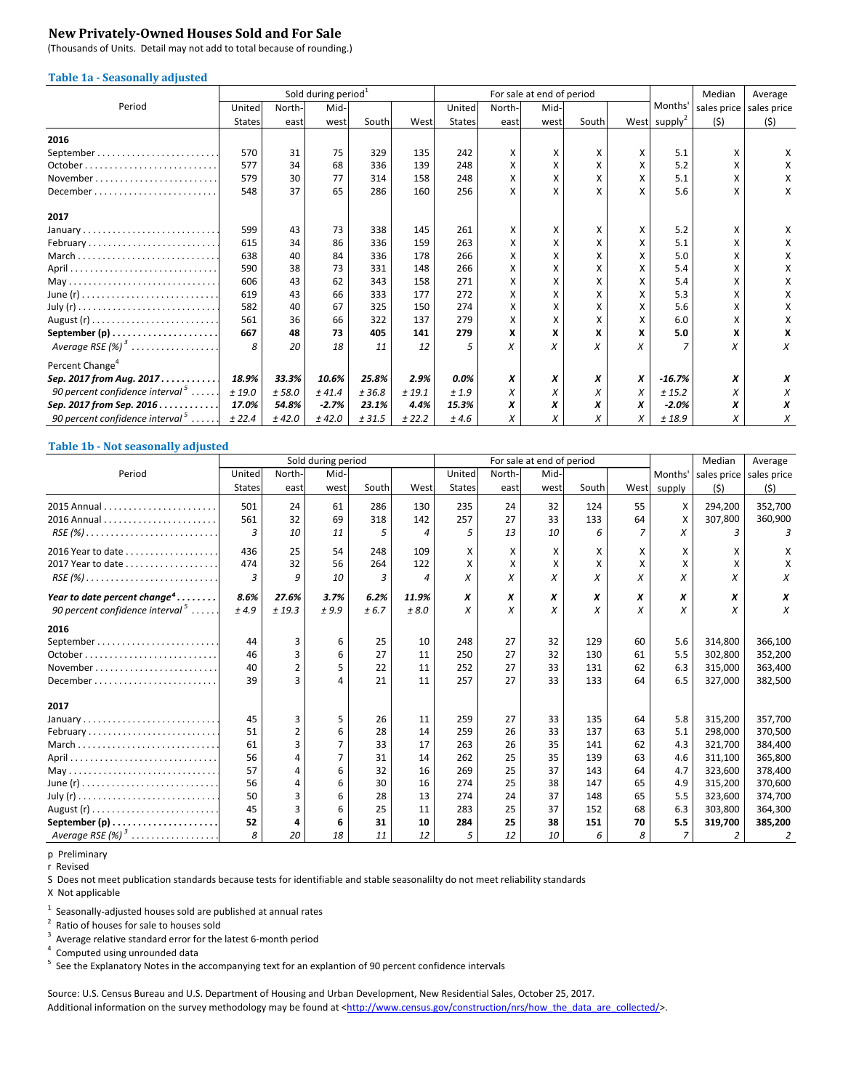### **New Privately‐Owned Houses Sold and For Sale**

(Thousands of Units. Detail may not add to total because of rounding.)

#### **Table 1a ‐ Seasonally adjusted**

|                                    |               |        | Sold during period <sup>1</sup> |        |        |               |        | For sale at end of period |       |   |                          | Median      | Average     |
|------------------------------------|---------------|--------|---------------------------------|--------|--------|---------------|--------|---------------------------|-------|---|--------------------------|-------------|-------------|
| Period                             | United        | North- | Mid-                            |        |        | United        | North- | Mid-                      |       |   | Months'                  | sales price | sales price |
|                                    | <b>States</b> | east   | west                            | South  | West   | <b>States</b> | east   | west                      | South |   | West supply <sup>2</sup> | (5)         | (5)         |
| 2016                               |               |        |                                 |        |        |               |        |                           |       |   |                          |             |             |
|                                    | 570           | 31     | 75                              | 329    | 135    | 242           | X      | X                         | x     | x | 5.1                      | x           | x           |
| October.                           | 577           | 34     | 68                              | 336    | 139    | 248           | Χ      | x                         | X     | x | 5.2                      | x           | х           |
| November                           | 579           | 30     | 77                              | 314    | 158    | 248           | X      | x                         | X     | x | 5.1                      |             | х           |
|                                    | 548           | 37     | 65                              | 286    | 160    | 256           | X      | X                         |       | x | 5.6                      |             | x           |
| 2017                               |               |        |                                 |        |        |               |        |                           |       |   |                          |             |             |
| January                            | 599           | 43     | 73                              | 338    | 145    | 261           | x      | X                         | x     | X | 5.2                      | x           | x           |
| February                           | 615           | 34     | 86                              | 336    | 159    | 263           | X      | x                         |       |   | 5.1                      |             |             |
| March                              | 638           | 40     | 84                              | 336    | 178    | 266           | x      | x                         | χ     |   | 5.0                      | x           | x           |
|                                    | 590           | 38     | 73                              | 331    | 148    | 266           | Χ      | x                         | x     |   | 5.4                      | x           | x           |
|                                    | 606           | 43     | 62                              | 343    | 158    | 271           | Χ      | x                         | χ     | x | 5.4                      |             |             |
|                                    | 619           | 43     | 66                              | 333    | 177    | 272           | X      | x                         | x     | x | 5.3                      | x           | x           |
|                                    | 582           | 40     | 67                              | 325    | 150    | 274           | X      | x                         | χ     | X | 5.6                      | x           |             |
|                                    | 561           | 36     | 66                              | 322    | 137    | 279           | X      | x                         | X     | Χ | 6.0                      | x           | х           |
|                                    | 667           | 48     | 73                              | 405    | 141    | 279           | X      | X                         | x     | x | 5.0                      | x           |             |
| Average RSE $(\%)^3$               | 8             | 20     | 18                              | 11     | 12     | 5             | X      | X                         |       |   |                          | Χ           | X           |
| Percent Change <sup>4</sup>        |               |        |                                 |        |        |               |        |                           |       |   |                          |             |             |
| Sep. 2017 from Aug. 2017.          | 18.9%         | 33.3%  | 10.6%                           | 25.8%  | 2.9%   | $0.0\%$       | x      | x                         | x     | x | $-16.7%$                 | x           | x           |
| 90 percent confidence interval $5$ | ± 19.0        | ± 58.0 | ± 41.4                          | ± 36.8 | ± 19.1 | ±1.9          | X      | X                         | X     | X | ± 15.2                   | Х           | X           |
| Sep. 2017 from Sep. 2016           | 17.0%         | 54.8%  | $-2.7%$                         | 23.1%  | 4.4%   | 15.3%         | x      | x                         | x     | X | $-2.0%$                  | х           | x           |
| 90 percent confidence interval $5$ | ± 22.4        | ± 42.0 | ± 42.0                          | ± 31.5 | ± 22.2 | ±4.6          | X      | x                         | X     | x | ±18.9                    | Х           | Х           |

#### **Table 1b ‐ Not seasonally adjusted**

|                                                                         |               |                | Sold during period |       |       |               |        | For sale at end of period |       |      |                | Median  | Average                 |
|-------------------------------------------------------------------------|---------------|----------------|--------------------|-------|-------|---------------|--------|---------------------------|-------|------|----------------|---------|-------------------------|
| Period                                                                  | United        | North-         | Mid-               |       |       | United        | North- | Mid-                      |       |      | Months'        |         | sales price sales price |
|                                                                         | <b>States</b> | east           | west               | South | West  | <b>States</b> | east   | west                      | South | West | supply         | (5)     | (5)                     |
|                                                                         | 501           | 24             | 61                 | 286   | 130   | 235           | 24     | 32                        | 124   | 55   | X              | 294,200 | 352,700                 |
|                                                                         | 561           | 32             | 69                 | 318   | 142   | 257           | 27     | 33                        | 133   | 64   | X              | 307,800 | 360,900                 |
| $RSE(%) \ldots \ldots \ldots \ldots \ldots \ldots \ldots \ldots \ldots$ | 3             | 10             | 11                 | 5     | 4     | 5             | 13     | 10                        | 6     |      | x              | 3       |                         |
|                                                                         | 436           | 25             | 54                 | 248   | 109   | X             | X      | х                         | x     | x    | X              | x       | X                       |
| 2017 Year to date                                                       | 474           | 32             | 56                 | 264   | 122   | X             | x      | x                         | x     |      | X              | X       | x                       |
| $RSE(%) \ldots \ldots \ldots \ldots \ldots \ldots \ldots \ldots \ldots$ | 3             | 9              | 10                 | 3     | 4     | X             | x      | X                         | X     | X    | X              | X       | Х                       |
| Year to date percent change <sup>4</sup>                                | 8.6%          | 27.6%          | 3.7%               | 6.2%  | 11.9% | x             | X      | x                         | x     | X    | x              | x       | x                       |
| 90 percent confidence interval $5$                                      | ±4.9          | ± 19.3         | ±9.9               | ± 6.7 | ± 8.0 | X             | X      | X                         | X     | X    | X              | X       | X                       |
| 2016                                                                    |               |                |                    |       |       |               |        |                           |       |      |                |         |                         |
|                                                                         | 44            | 3              | 6                  | 25    | 10    | 248           | 27     | 32                        | 129   | 60   | 5.6            | 314,800 | 366,100                 |
|                                                                         | 46            | 3              | 6                  | 27    | 11    | 250           | 27     | 32                        | 130   | 61   | 5.5            | 302,800 | 352,200                 |
| November                                                                | 40            | $\overline{2}$ |                    | 22    | 11    | 252           | 27     | 33                        | 131   | 62   | 6.3            | 315,000 | 363,400                 |
| December                                                                | 39            | ξ              |                    | 21    | 11    | 257           | 27     | 33                        | 133   | 64   | 6.5            | 327,000 | 382,500                 |
| 2017                                                                    |               |                |                    |       |       |               |        |                           |       |      |                |         |                         |
|                                                                         | 45            | 3              | 5                  | 26    | 11    | 259           | 27     | 33                        | 135   | 64   | 5.8            | 315,200 | 357,700                 |
| February                                                                | 51            | $\overline{2}$ | 6                  | 28    | 14    | 259           | 26     | 33                        | 137   | 63   | 5.1            | 298.000 | 370,500                 |
| March                                                                   | 61            | 3              |                    | 33    | 17    | 263           | 26     | 35                        | 141   | 62   | 4.3            | 321,700 | 384,400                 |
|                                                                         | 56            | 4              |                    | 31    | 14    | 262           | 25     | 35                        | 139   | 63   | 4.6            | 311,100 | 365,800                 |
|                                                                         | 57            | 4              | 6                  | 32    | 16    | 269           | 25     | 37                        | 143   | 64   | 4.7            | 323,600 | 378,400                 |
|                                                                         | 56            | 4              | 6                  | 30    | 16    | 274           | 25     | 38                        | 147   | 65   | 4.9            | 315,200 | 370,600                 |
|                                                                         | 50            | 3              | 6                  | 28    | 13    | 274           | 24     | 37                        | 148   | 65   | 5.5            | 323,600 | 374,700                 |
|                                                                         | 45            | ξ              |                    | 25    | 11    | 283           | 25     | 37                        | 152   | 68   | 6.3            | 303,800 | 364,300                 |
|                                                                         | 52            |                |                    | 31    | 10    | 284           | 25     | 38                        | 151   | 70   | 5.5            | 319,700 | 385,200                 |
| Average RSE $(\%)$ <sup>3</sup>                                         | 8             | 20             | 18                 | 11    | 12    | 5             | 12     | 10                        | 6     | 8    | $\overline{7}$ | 2       | 2                       |

p Preliminary

r Revised

S Does not meet publication standards because tests for identifiable and stable seasonalilty do not meet reliability standards

X Not applicable

 $<sup>1</sup>$  Seasonally-adjusted houses sold are published at annual rates</sup>

<sup>2</sup> Ratio of houses for sale to houses sold

 $3$  Average relative standard error for the latest 6-month period

<sup>4</sup> Computed using unrounded data

<sup>5</sup> See the Explanatory Notes in the accompanying text for an explantion of 90 percent confidence intervals

Source: U.S. Census Bureau and U.S. Department of Housing and Urban Development, New Residential Sales, October 25, 2017. Additional information on the survey methodology may be found at <http://www.census.gov/construction/nrs/how\_the\_data\_are\_collected/>.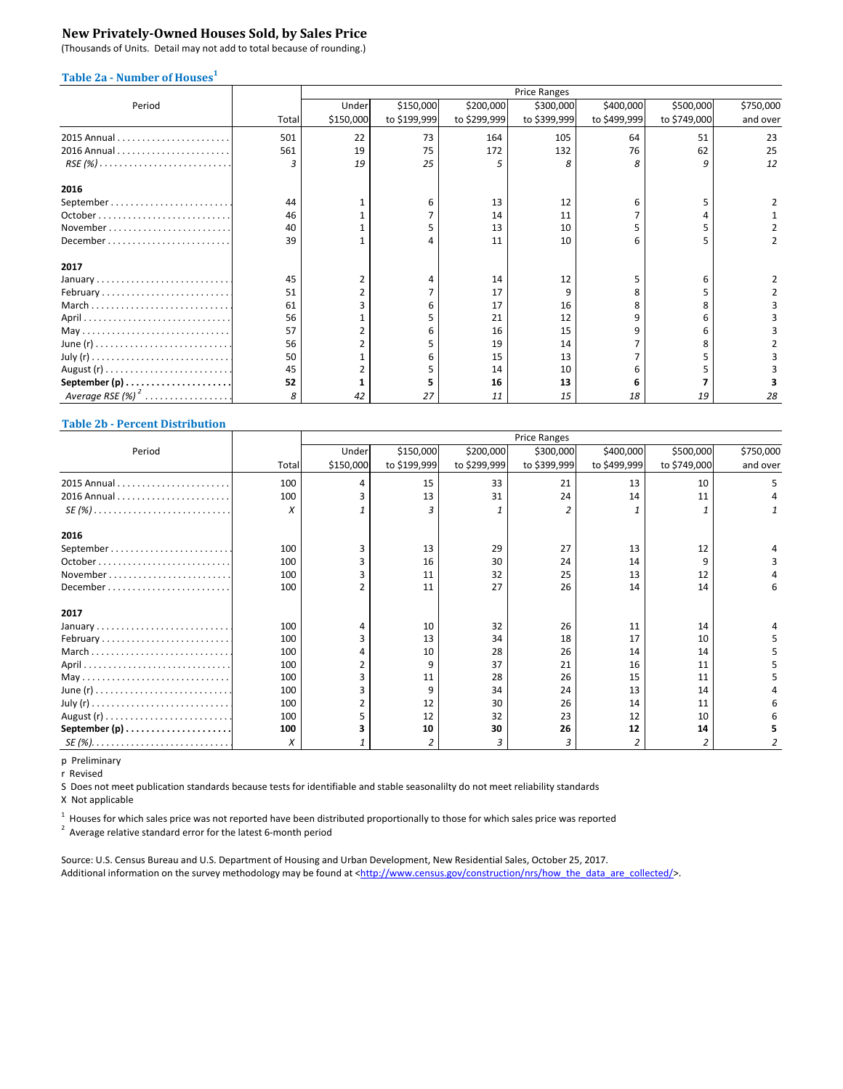### **New Privately‐Owned Houses Sold, by Sales Price**

(Thousands of Units. Detail may not add to total because of rounding.)

### **Table 2a** - Number of Houses<sup>1</sup>

|                                                                         |       | <b>Price Ranges</b> |              |              |              |              |              |           |  |  |
|-------------------------------------------------------------------------|-------|---------------------|--------------|--------------|--------------|--------------|--------------|-----------|--|--|
| Period                                                                  |       | Under               | \$150,000    | \$200,000    | \$300,000    | \$400,000    | \$500,000    | \$750,000 |  |  |
|                                                                         | Total | \$150,000           | to \$199,999 | to \$299,999 | to \$399,999 | to \$499,999 | to \$749,000 | and over  |  |  |
|                                                                         | 501   | 22                  | 73           | 164          | 105          | 64           | 51           | 23        |  |  |
|                                                                         | 561   | 19                  | 75           | 172          | 132          | 76           | 62           | 25        |  |  |
| $RSE(%) \ldots \ldots \ldots \ldots \ldots \ldots \ldots \ldots \ldots$ | 3     | 19                  | 25           |              | 8            |              |              | 12        |  |  |
| 2016                                                                    |       |                     |              |              |              |              |              |           |  |  |
|                                                                         | 44    |                     | 6            | 13           | 12           |              |              |           |  |  |
|                                                                         | 46    |                     |              | 14           | 11           |              |              |           |  |  |
|                                                                         | 40    |                     |              | 13           | 10           |              |              |           |  |  |
| December                                                                | 39    |                     |              | 11           | 10           |              |              |           |  |  |
| 2017                                                                    |       |                     |              |              |              |              |              |           |  |  |
|                                                                         | 45    | 2                   |              | 14           | 12           |              |              |           |  |  |
| February                                                                | 51    |                     |              | 17           | 9            |              |              |           |  |  |
| March                                                                   | 61    |                     |              | 17           | 16           |              |              |           |  |  |
|                                                                         | 56    |                     |              | 21           | 12           |              |              |           |  |  |
|                                                                         | 57    |                     |              | 16           | 15           |              |              |           |  |  |
|                                                                         | 56    |                     |              | 19           | 14           |              |              |           |  |  |
|                                                                         | 50    |                     |              | 15           | 13           |              |              |           |  |  |
|                                                                         | 45    |                     |              | 14           | 10           |              |              |           |  |  |
| September $(p)$                                                         | 52    |                     |              | 16           | 13           |              |              |           |  |  |
| Average RSE $(%)^2$                                                     | 8     | 42                  | 27           | 11           | 15           | 18           | 19           | 28        |  |  |

#### **Table 2b ‐ Percent Distribution**

|                                                                        |       | <b>Price Ranges</b> |              |              |              |              |              |           |  |
|------------------------------------------------------------------------|-------|---------------------|--------------|--------------|--------------|--------------|--------------|-----------|--|
| Period                                                                 |       | Under               | \$150,000    | \$200,000    | \$300,000    | \$400,000    | \$500,000    | \$750,000 |  |
|                                                                        | Total | \$150,000           | to \$199,999 | to \$299,999 | to \$399,999 | to \$499,999 | to \$749,000 | and over  |  |
|                                                                        | 100   | Δ                   | 15           | 33           | 21           | 13           | 10           |           |  |
|                                                                        | 100   |                     | 13           | 31           | 24           | 14           | 11           |           |  |
| $SE(%) \ldots \ldots \ldots \ldots \ldots \ldots \ldots \ldots \ldots$ | X     |                     | 3            |              |              |              |              |           |  |
| 2016                                                                   |       |                     |              |              |              |              |              |           |  |
|                                                                        | 100   | ς                   | 13           | 29           | 27           | 13           | 12           |           |  |
|                                                                        | 100   |                     | 16           | 30           | 24           | 14           |              |           |  |
| November                                                               | 100   |                     | 11           | 32           | 25           | 13           | 12           |           |  |
|                                                                        | 100   |                     | 11           | 27           | 26           | 14           | 14           | 6         |  |
| 2017                                                                   |       |                     |              |              |              |              |              |           |  |
|                                                                        | 100   | 4                   | 10           | 32           | 26           | 11           | 14           |           |  |
| February                                                               | 100   |                     | 13           | 34           | 18           | 17           | 10           |           |  |
| March                                                                  | 100   |                     | 10           | 28           | 26           | 14           | 14           |           |  |
|                                                                        | 100   |                     | 9            | 37           | 21           | 16           | 11           |           |  |
|                                                                        | 100   |                     | 11           | 28           | 26           | 15           | 11           |           |  |
|                                                                        | 100   |                     | 9            | 34           | 24           | 13           | 14           |           |  |
|                                                                        | 100   |                     | 12           | 30           | 26           | 14           | 11           |           |  |
|                                                                        | 100   |                     | 12           | 32           | 23           | 12           | 10           |           |  |
| September $(p)$                                                        | 100   |                     | 10           | 30           | 26           | 12           | 14           |           |  |
|                                                                        | X     |                     | 2            | 3            | 3            |              |              |           |  |

p Preliminary

r Revised

S Does not meet publication standards because tests for identifiable and stable seasonalilty do not meet reliability standards

X Not applicable

 $^1$  Houses for which sales price was not reported have been distributed proportionally to those for which sales price was reported

 $2$  Average relative standard error for the latest 6-month period

Source: U.S. Census Bureau and U.S. Department of Housing and Urban Development, New Residential Sales, October 25, 2017. Additional information on the survey methodology may be found at <http://www.census.gov/construction/nrs/how\_the\_data\_are\_collected/>.